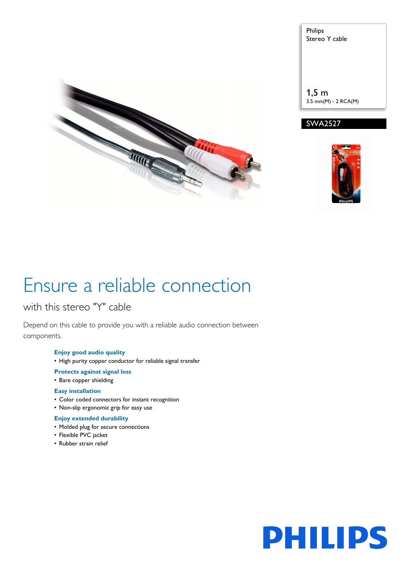

Philips Stereo Y cable 1,5 m 3.5 mm(M) - 2 RCA(M)





# Ensure a reliable connection

### with this stereo "Y" cable

Depend on this cable to provide you with a reliable audio connection between components.

### **Enjoy good audio quality**

- High purity copper conductor for reliable signal transfer
- **Protects against signal loss**
- Bare copper shielding

### **Easy installation**

- Color coded connectors for instant recognition
- Non-slip ergonomic grip for easy use

### **Enjoy extended durability**

- Molded plug for secure connections
- Flexible PVC jacket
- Rubber strain relief